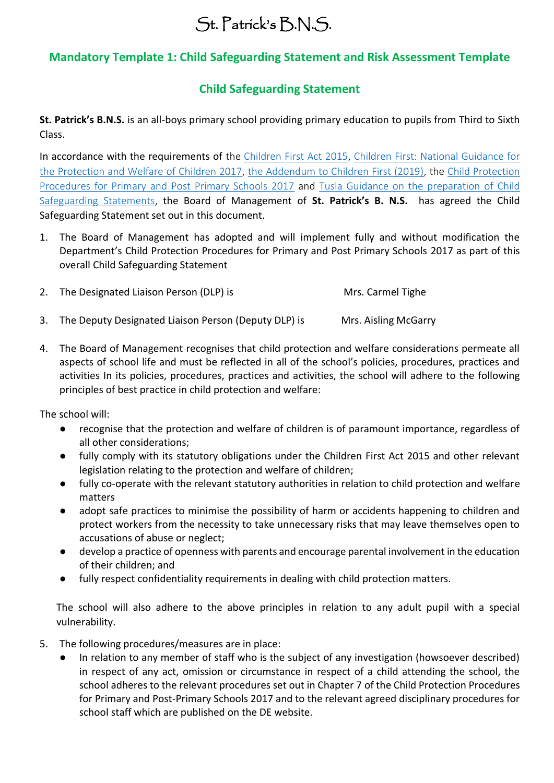## St. Patrick's B.N.S.

## **Mandatory Template 1: Child Safeguarding Statement and Risk Assessment Template**

## **Child Safeguarding Statement**

**St. Patrick's B.N.S.** is an all-boys primary school providing primary education to pupils from Third to Sixth Class.

In accordance with the requirements of the [Children First Act 2015,](http://www.irishstatutebook.ie/eli/2015/act/36/enacted/en/pdf) Children First: National Guidance for [the Protection and Welfare of Children 2017,](https://assets.gov.ie/25844/b90aafa55804462f84d05f87f0ca2bf6.pdf) [the Addendum to Children First \(2019\),](https://assets.gov.ie/25819/c9744b64dfd6447985eeffa5c0d71bbb.pdf) the [Child Protection](https://www.gov.ie/pdf/?file=https://assets.gov.ie/45063/2d4b5b3d781e4ec1ab4f3e5d198717d9.pdf#page=1)  [Procedures for Primary and Post Primary Schools 2017](https://www.gov.ie/pdf/?file=https://assets.gov.ie/45063/2d4b5b3d781e4ec1ab4f3e5d198717d9.pdf#page=1) and [Tusla Guidance on the preparation of Child](https://www.tusla.ie/uploads/content/4214-TUSLA_Guidance_on_Developing_a_CSS_LR.PDF)  [Safeguarding Statements,](https://www.tusla.ie/uploads/content/4214-TUSLA_Guidance_on_Developing_a_CSS_LR.PDF) the Board of Management of **St. Patrick's B. N.S.** has agreed the Child Safeguarding Statement set out in this document.

- 1. The Board of Management has adopted and will implement fully and without modification the Department's Child Protection Procedures for Primary and Post Primary Schools 2017 as part of this overall Child Safeguarding Statement
- 2. The Designated Liaison Person (DLP) is Mrs. Carmel Tighe
- 3. The Deputy Designated Liaison Person (Deputy DLP) is Mrs. Aisling McGarry
- 4. The Board of Management recognises that child protection and welfare considerations permeate all aspects of school life and must be reflected in all of the school's policies, procedures, practices and activities In its policies, procedures, practices and activities, the school will adhere to the following principles of best practice in child protection and welfare:

The school will:

- recognise that the protection and welfare of children is of paramount importance, regardless of all other considerations;
- fully comply with its statutory obligations under the Children First Act 2015 and other relevant legislation relating to the protection and welfare of children;
- fully co-operate with the relevant statutory authorities in relation to child protection and welfare matters
- adopt safe practices to minimise the possibility of harm or accidents happening to children and protect workers from the necessity to take unnecessary risks that may leave themselves open to accusations of abuse or neglect;
- develop a practice of openness with parents and encourage parental involvement in the education of their children; and
- fully respect confidentiality requirements in dealing with child protection matters.

The school will also adhere to the above principles in relation to any adult pupil with a special vulnerability.

- 5. The following procedures/measures are in place:
	- In relation to any member of staff who is the subject of any investigation (howsoever described) in respect of any act, omission or circumstance in respect of a child attending the school, the school adheres to the relevant procedures set out in Chapter 7 of the Child Protection Procedures for Primary and Post-Primary Schools 2017 and to the relevant agreed disciplinary procedures for school staff which are published on the DE website.